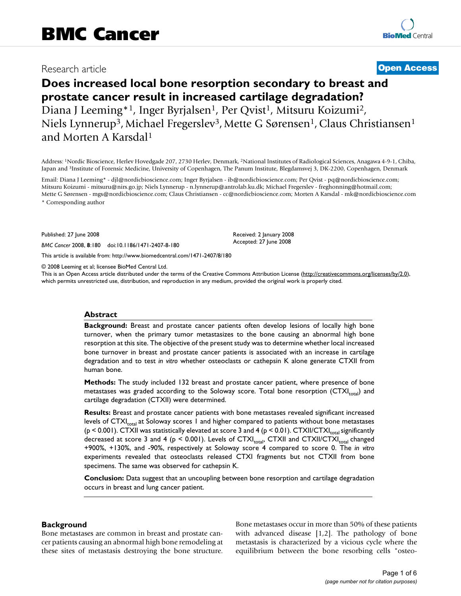## Research article **[Open Access](http://www.biomedcentral.com/info/about/charter/)**

# **Does increased local bone resorption secondary to breast and prostate cancer result in increased cartilage degradation?** Diana J Leeming<sup>\*1</sup>, Inger Byrjalsen<sup>1</sup>, Per Qvist<sup>1</sup>, Mitsuru Koizumi<sup>2</sup>, Niels Lynnerup<sup>3</sup>, Michael Fregerslev<sup>3</sup>, Mette G Sørensen<sup>1</sup>, Claus Christiansen<sup>1</sup> and Morten A Karsdal1

Address: 1Nordic Bioscience, Herlev Hovedgade 207, 2730 Herlev, Denmark, 2National Institutes of Radiological Sciences, Anagawa 4-9-1, Chiba, Japan and 3Institute of Forensic Medicine, University of Copenhagen, The Panum Institute, Blegdamsvej 3, DK-2200, Copenhagen, Denmark

Email: Diana J Leeming\* - djl@nordicbioscience.com; Inger Byrjalsen - ib@nordicbioscience.com; Per Qvist - pq@nordicbioscience.com; Mitsuru Koizumi - mitsuru@nirs.go.jp; Niels Lynnerup - n.lynnerup@antrolab.ku.dk; Michael Fregerslev - freghonning@hotmail.com; Mette G Sørensen - mgs@nordicbioscience.com; Claus Christiansen - cc@nordicbioscience.com; Morten A Karsdal - mk@nordicbioscience.com \* Corresponding author

> Received: 2 January 2008 Accepted: 27 June 2008

Published: 27 June 2008

*BMC Cancer* 2008, **8**:180 doi:10.1186/1471-2407-8-180

[This article is available from: http://www.biomedcentral.com/1471-2407/8/180](http://www.biomedcentral.com/1471-2407/8/180)

© 2008 Leeming et al; licensee BioMed Central Ltd.

This is an Open Access article distributed under the terms of the Creative Commons Attribution License [\(http://creativecommons.org/licenses/by/2.0\)](http://creativecommons.org/licenses/by/2.0), which permits unrestricted use, distribution, and reproduction in any medium, provided the original work is properly cited.

#### **Abstract**

**Background:** Breast and prostate cancer patients often develop lesions of locally high bone turnover, when the primary tumor metastasizes to the bone causing an abnormal high bone resorption at this site. The objective of the present study was to determine whether local increased bone turnover in breast and prostate cancer patients is associated with an increase in cartilage degradation and to test *in vitro* whether osteoclasts or cathepsin K alone generate CTXII from human bone.

**Methods:** The study included 132 breast and prostate cancer patient, where presence of bone metastases was graded according to the Soloway score. Total bone resorption  $(CTX|_{total})$  and cartilage degradation (CTXII) were determined.

**Results:** Breast and prostate cancer patients with bone metastases revealed significant increased levels of  $CTXI_{total}$  at Soloway scores 1 and higher compared to patients without bone metastases ( $p \le 0.001$ ). CTXII was statistically elevated at score 3 and 4 ( $p \le 0.01$ ). CTXII/CTXI<sub>rotal</sub> significantly decreased at score 3 and 4 ( $p < 0.001$ ). Levels of CTXI<sub>total</sub>, CTXII and CTXII/CTXI<sub>total</sub> changed +900%, +130%, and -90%, respectively at Soloway score 4 compared to score 0. The *in vitro* experiments revealed that osteoclasts released CTXI fragments but not CTXII from bone specimens. The same was observed for cathepsin K.

**Conclusion:** Data suggest that an uncoupling between bone resorption and cartilage degradation occurs in breast and lung cancer patient.

#### **Background**

Bone metastases are common in breast and prostate cancer patients causing an abnormal high bone remodeling at these sites of metastasis destroying the bone structure. Bone metastases occur in more than 50% of these patients with advanced disease [1,2]. The pathology of bone metastasis is characterized by a vicious cycle where the equilibrium between the bone resorbing cells "osteo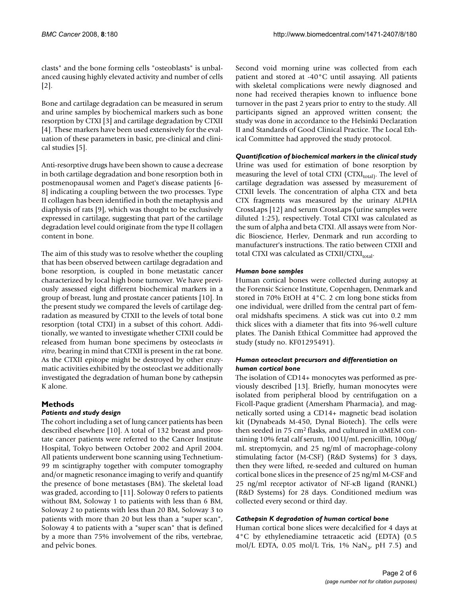clasts" and the bone forming cells "osteoblasts" is unbalanced causing highly elevated activity and number of cells [2].

Bone and cartilage degradation can be measured in serum and urine samples by biochemical markers such as bone resorption by CTXI [3] and cartilage degradation by CTXII [4]. These markers have been used extensively for the evaluation of these parameters in basic, pre-clinical and clinical studies [5].

Anti-resorptive drugs have been shown to cause a decrease in both cartilage degradation and bone resorption both in postmenopausal women and Paget's disease patients [6- 8] indicating a coupling between the two processes. Type II collagen has been identified in both the metaphysis and diaphysis of rats [9], which was thought to be exclusively expressed in cartilage, suggesting that part of the cartilage degradation level could originate from the type II collagen content in bone.

The aim of this study was to resolve whether the coupling that has been observed between cartilage degradation and bone resorption, is coupled in bone metastatic cancer characterized by local high bone turnover. We have previously assessed eight different biochemical markers in a group of breast, lung and prostate cancer patients [10]. In the present study we compared the levels of cartilage degradation as measured by CTXII to the levels of total bone resorption (total CTXI) in a subset of this cohort. Additionally, we wanted to investigate whether CTXII could be released from human bone specimens by osteoclasts *in vitro*, bearing in mind that CTXII is present in the rat bone. As the CTXII epitope might be destroyed by other enzymatic activities exhibited by the osteoclast we additionally investigated the degradation of human bone by cathepsin K alone.

## **Methods**

## *Patients and study design*

The cohort including a set of lung cancer patients has been described elsewhere [10]. A total of 132 breast and prostate cancer patients were referred to the Cancer Institute Hospital, Tokyo between October 2002 and April 2004. All patients underwent bone scanning using Technetium-99 m scintigraphy together with computer tomography and/or magnetic resonance imaging to verify and quantify the presence of bone metastases (BM). The skeletal load was graded, according to [11]. Soloway 0 refers to patients without BM, Soloway 1 to patients with less than 6 BM, Soloway 2 to patients with less than 20 BM, Soloway 3 to patients with more than 20 but less than a "super scan", Soloway 4 to patients with a "super scan" that is defined by a more than 75% involvement of the ribs, vertebrae, and pelvic bones.

Second void morning urine was collected from each patient and stored at -40°C until assaying. All patients with skeletal complications were newly diagnosed and none had received therapies known to influence bone turnover in the past 2 years prior to entry to the study. All participants signed an approved written consent; the study was done in accordance to the Helsinki Declaration II and Standards of Good Clinical Practice. The Local Ethical Committee had approved the study protocol.

## *Quantification of biochemical markers in the clinical study*

Urine was used for estimation of bone resorption by measuring the level of total CTXI (CTXI $_{\text{total}}$ ). The level of cartilage degradation was assessed by measurement of CTXII levels. The concentration of alpha CTX and beta CTX fragments was measured by the urinary ALPHA CrossLaps [12] and serum CrossLaps (urine samples were diluted 1:25), respectively. Total CTXI was calculated as the sum of alpha and beta CTXI. All assays were from Nordic Bioscience, Herlev, Denmark and run according to manufacturer's instructions. The ratio between CTXII and total CTXI was calculated as  $CTXII/CTXI_{total}$ .

## *Human bone samples*

Human cortical bones were collected during autopsy at the Forensic Science Institute, Copenhagen, Denmark and stored in 70% EtOH at 4°C. 2 cm long bone sticks from one individual, were drilled from the central part of femoral midshafts specimens. A stick was cut into 0.2 mm thick slices with a diameter that fits into 96-well culture plates. The Danish Ethical Committee had approved the study (study no. KF01295491).

#### *Human osteoclast precursors and differentiation on human cortical bone*

The isolation of CD14+ monocytes was performed as previously described [13]. Briefly, human monocytes were isolated from peripheral blood by centrifugation on a Ficoll-Paque gradient (Amersham Pharmacia), and magnetically sorted using a CD14+ magnetic bead isolation kit (Dynabeads M-450, Dynal Biotech). The cells were then seeded in 75 cm<sup>2</sup> flasks, and cultured in αMEM containing 10% fetal calf serum, 100 U/mL penicillin, 100μg/ mL streptomycin, and 25 ng/ml of macrophage-colony stimulating factor (M-CSF) (R&D Systems) for 3 days, then they were lifted, re-seeded and cultured on human cortical bone slices in the presence of 25 ng/ml M-CSF and 25 ng/ml receptor activator of NF-κB ligand (RANKL) (R&D Systems) for 28 days. Conditioned medium was collected every second or third day.

## *Cathepsin K degradation of human cortical bone*

Human cortical bone slices were decalcified for 4 days at 4°C by ethylenediamine tetraacetic acid (EDTA) (0.5 mol/L EDTA, 0.05 mol/L Tris, 1% NaN<sub>3</sub>, pH 7.5) and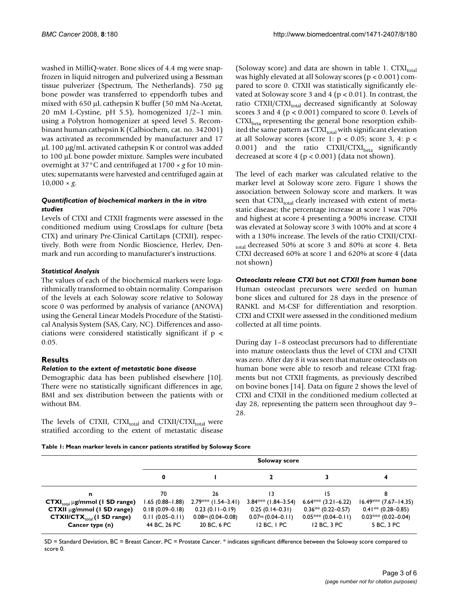washed in MilliQ-water. Bone slices of 4.4 mg were snapfrozen in liquid nitrogen and pulverized using a Bessman tissue pulverizer (Spectrum, The Netherlands). 750 μg bone powder was transferred to eppendorfh tubes and mixed with 650 μL cathepsin K buffer (50 mM Na-Acetat, 20 mM L-Cystine, pH 5.5), homogenized 1/2–1 min. using a Polytron homogenizer at speed level 5. Recombinant human cathepsin K (Calbiochem, cat. no. 342001) was activated as recommended by manufacturer and 17 μL 100 μg/mL activated cathepsin K or control was added to 100 μL bone powder mixture. Samples were incubated overnight at 37°C and centrifuged at 1700 × *g* for 10 minutes; supernatants were harvested and centrifuged again at  $10,000 \times g$ .

## *Quantification of biochemical markers in the in vitro studies*

Levels of CTXI and CTXII fragments were assessed in the conditioned medium using CrossLaps for culture (beta CTX) and urinary Pre-Clinical CartiLaps (CTXII), respectively. Both were from Nordic Bioscience, Herlev, Denmark and run according to manufacturer's instructions.

## *Statistical Analysis*

The values of each of the biochemical markers were logarithmically transformed to obtain normality. Comparison of the levels at each Soloway score relative to Soloway score 0 was performed by analysis of variance (ANOVA) using the General Linear Models Procedure of the Statistical Analysis System (SAS, Cary, NC). Differences and associations were considered statistically significant if p < 0.05.

## **Results**

#### *Relation to the extent of metastatic bone disease*

Demographic data has been published elsewhere [10]. There were no statistically significant differences in age, BMI and sex distribution between the patients with or without BM.

The levels of CTXII, CTXI<sub>total</sub> and CTXII/CTXI<sub>total</sub> were stratified according to the extent of metastatic disease (Soloway score) and data are shown in table 1.  $CTXI_{total}$ was highly elevated at all Soloway scores (p < 0.001) compared to score 0. CTXII was statistically significantly elevated at Soloway score 3 and 4 ( $p < 0.01$ ). In contrast, the ratio CTXII/CTXI<sub>total</sub> decreased significantly at Soloway scores 3 and 4 (p < 0.001) compared to score 0. Levels of  $CTXI<sub>beta</sub>$  representing the general bone resorption exhibited the same pattern as  $\text{CTXI}_{\text{total}}$  with significant elevation at all Soloway scores (score 1:  $p < 0.05$ ; score 3, 4:  $p <$ 0.001) and the ratio  $CTXII/CTXI_{\text{beta}}$  significantly decreased at score 4 ( $p < 0.001$ ) (data not shown).

The level of each marker was calculated relative to the marker level at Soloway score zero. Figure 1 shows the association between Soloway score and markers. It was seen that CTXI<sub>total</sub> clearly increased with extent of metastatic disease; the percentage increase at score 1 was 70% and highest at score 4 presenting a 900% increase. CTXII was elevated at Soloway score 3 with 100% and at score 4 with a 130% increase. The levels of the ratio CTXII/CTXI-<sub>total</sub> decreased 50% at score 3 and 80% at score 4. Beta CTXI decreased 60% at score 1 and 620% at score 4 (data not shown)

#### *Osteoclasts release CTXI but not CTXII from human bone*

Human osteoclast precursors were seeded on human bone slices and cultured for 28 days in the presence of RANKL and M-CSF for differentiation and resorption. CTXI and CTXII were assessed in the conditioned medium collected at all time points.

During day 1–8 osteoclast precursors had to differentiate into mature osteoclasts thus the level of CTXI and CTXII was zero. After day 8 it was seen that mature osteoclasts on human bone were able to resorb and release CTXI fragments but not CTXII fragments, as previously described on bovine bones [14]. Data on figure 2 shows the level of CTXI and CTXII in the conditioned medium collected at day 28, representing the pattern seen throughout day 9– 28.

**Table 1: Mean marker levels in cancer patients stratified by Soloway Score**

|                                     | Soloway score       |                       |                        |                        |                         |
|-------------------------------------|---------------------|-----------------------|------------------------|------------------------|-------------------------|
|                                     | 0                   |                       |                        |                        |                         |
| n                                   | 70                  | 26                    | 13                     | 15                     | 8                       |
| $CTXItotal \mu g/mmol$ (1 SD range) | .65 (0.88–1.88)     | $2.79***$ (1.54-3.41) | $3.84$ *** (1.84–3.54) | $6.64$ *** (3.21–6.22) | $16.49***$ (7.67-14.35) |
| $CTXII \mu g/mmol (I SD range)$     | $0.18(0.09 - 0.18)$ | $0.23(0.11-0.19)$     | $0.25(0.14-0.31)$      | $0.36** (0.22 - 0.57)$ | $0.41** (0.28 - 0.85)$  |
| $CTXII/CTX_{total}$ (1 SD range)    | $0.11(0.05-0.11)$   | $0.08ns$ (0.04-0.08)  | $0.07ns (0.04-0.11)$   | $0.05$ *** (0.04–0.11) | $0.03$ *** (0.02–0.04)  |
| Cancer type (n)                     | 44 BC, 26 PC        | 20 BC, 6 PC           | $12$ BC, $1$ PC        | 12 BC, 3 PC            | 5 BC, 3 PC              |

SD = Standard Deviation, BC = Breast Cancer, PC = Prostate Cancer. \* indicates significant difference between the Soloway score compared to score 0.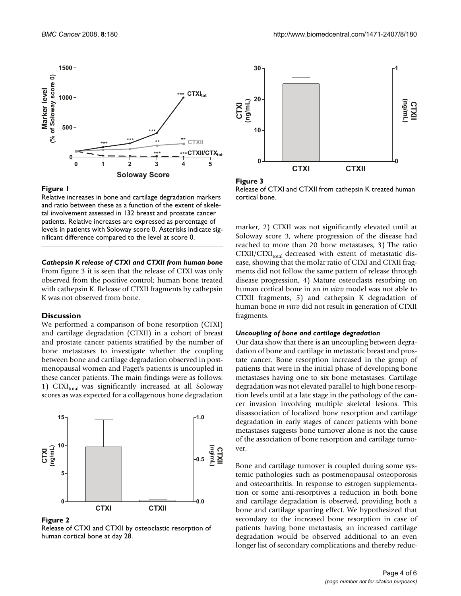

#### Figure I

Relative increases in bone and cartilage degradation markers and ratio between these as a function of the extent of skeletal involvement assessed in 132 breast and prostate cancer patients. Relative increases are expressed as percentage of levels in patients with Soloway score 0. Asterisks indicate significant difference compared to the level at score 0.

#### *Cathepsin K release of CTXI and CTXII from human bone*

From figure 3 it is seen that the release of CTXI was only observed from the positive control; human bone treated with cathepsin K. Release of CTXII fragments by cathepsin K was not observed from bone.

#### **Discussion**

We performed a comparison of bone resorption (CTXI) and cartilage degradation (CTXII) in a cohort of breast and prostate cancer patients stratified by the number of bone metastases to investigate whether the coupling between bone and cartilage degradation observed in postmenopausal women and Paget's patients is uncoupled in these cancer patients. The main findings were as follows: 1) CTXI $_{total}$  was significantly increased at all Soloway scores as was expected for a collagenous bone degradation



Figure 2

Release of CTXI and CTXII by osteoclastic resorption of human cortical bone at day 28.



**Figure 3** Release of CTXI and CTXII from cathepsin K treated human cortical bone.

marker, 2) CTXII was not significantly elevated until at Soloway score 3, where progression of the disease had reached to more than 20 bone metastases, 3) The ratio  $CTXII/CTXI_{total}$  decreased with extent of metastatic disease, showing that the molar ratio of CTXI and CTXII fragments did not follow the same pattern of release through disease progression, 4) Mature osteoclasts resorbing on human cortical bone in an *in vitro* model was not able to CTXII fragments, 5) and cathepsin K degradation of human bone *in vitro* did not result in generation of CTXII fragments.

#### *Uncoupling of bone and cartilage degradation*

Our data show that there is an uncoupling between degradation of bone and cartilage in metastatic breast and prostate cancer. Bone resorption increased in the group of patients that were in the initial phase of developing bone metastases having one to six bone metastases. Cartilage degradation was not elevated parallel to high bone resorption levels until at a late stage in the pathology of the cancer invasion involving multiple skeletal lesions. This disassociation of localized bone resorption and cartilage degradation in early stages of cancer patients with bone metastases suggests bone turnover alone is not the cause of the association of bone resorption and cartilage turnover.

Bone and cartilage turnover is coupled during some systemic pathologies such as postmenopausal osteoporosis and osteoarthritis. In response to estrogen supplementation or some anti-resorptives a reduction in both bone and cartilage degradation is observed, providing both a bone and cartilage sparring effect. We hypothesized that secondary to the increased bone resorption in case of patients having bone metastasis, an increased cartilage degradation would be observed additional to an even longer list of secondary complications and thereby reduc-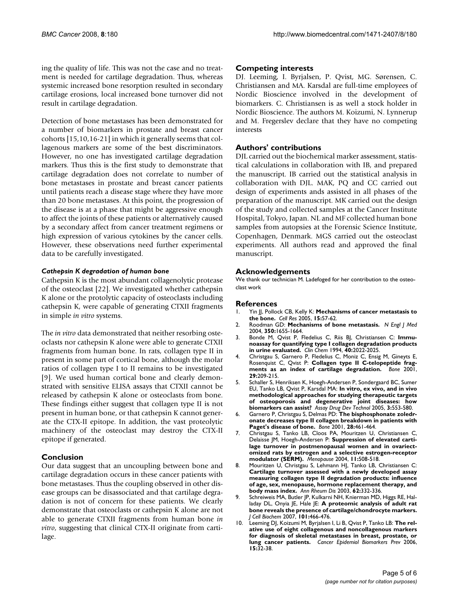ing the quality of life. This was not the case and no treatment is needed for cartilage degradation. Thus, whereas systemic increased bone resorption resulted in secondary cartilage erosions, local increased bone turnover did not result in cartilage degradation.

Detection of bone metastases has been demonstrated for a number of biomarkers in prostate and breast cancer cohorts [15,10,16-21] in which it generally seems that collagenous markers are some of the best discriminators. However, no one has investigated cartilage degradation markers. Thus this is the first study to demonstrate that cartilage degradation does not correlate to number of bone metastases in prostate and breast cancer patients until patients reach a disease stage where they have more than 20 bone metastases. At this point, the progression of the disease is at a phase that might be aggressive enough to affect the joints of these patients or alternatively caused by a secondary affect from cancer treatment regimens or high expression of various cytokines by the cancer cells. However, these observations need further experimental data to be carefully investigated.

#### *Cathepsin K degradation of human bone*

Cathepsin K is the most abundant collagenolytic protease of the osteoclast [22]. We investigated whether cathepsin K alone or the protolytic capacity of osteoclasts including cathepsin K, were capable of generating CTXII fragments in simple *in vitro* systems.

The *in vitro* data demonstrated that neither resorbing osteoclasts nor cathepsin K alone were able to generate CTXII fragments from human bone. In rats, collagen type II in present in some part of cortical bone, although the molar ratios of collagen type I to II remains to be investigated [9]. We used human cortical bone and clearly demonstrated with sensitive ELISA assays that CTXII cannot be released by cathepsin K alone or osteoclasts from bone. These findings either suggest that collagen type II is not present in human bone, or that cathepsin K cannot generate the CTX-II epitope. In addition, the vast proteolytic machinery of the osteoclast may destroy the CTX-II epitope if generated.

## **Conclusion**

Our data suggest that an uncoupling between bone and cartilage degradation occurs in these cancer patients with bone metastases. Thus the coupling observed in other disease groups can be disassociated and that cartilage degradation is not of concern for these patients. We clearly demonstrate that osteoclasts or cathepsin K alone are not able to generate CTXII fragments from human bone *in vitro*, suggesting that clinical CTX-II originate from cartilage.

## **Competing interests**

DJ. Leeming, I. Byrjalsen, P. Qvist, MG. Sørensen, C. Christiansen and MA. Karsdal are full-time employees of Nordic Bioscience involved in the development of biomarkers. C. Christiansen is as well a stock holder in Nordic Bioscience. The authors M. Koizumi, N. Lynnerup and M. Fregerslev declare that they have no competing interests

## **Authors' contributions**

DJL carried out the biochemical marker assessment, statistical calculations in collaboration with IB, and prepared the manuscript. IB carried out the statistical analysis in collaboration with DJL. MAK, PQ and CC carried out design of experiments ands assisted in all phases of the preparation of the manuscript. MK carried out the design of the study and collected samples at the Cancer Institute Hospital, Tokyo, Japan. NL and MF collected human bone samples from autopsies at the Forensic Science Institute, Copenhagen, Denmark. MGS carried out the osteoclast experiments. All authors read and approved the final manuscript.

## **Acknowledgements**

We thank our technician M. Ladefoged for her contribution to the osteoclast work

#### **References**

- 1. Yin JJ, Pollock CB, Kelly K: **[Mechanisms of cancer metastasis to](http://www.ncbi.nlm.nih.gov/entrez/query.fcgi?cmd=Retrieve&db=PubMed&dopt=Abstract&list_uids=15686629) [the bone.](http://www.ncbi.nlm.nih.gov/entrez/query.fcgi?cmd=Retrieve&db=PubMed&dopt=Abstract&list_uids=15686629)** *Cell Res* 2005, **15:**57-62.
- 2. Roodman GD: **[Mechanisms of bone metastasis.](http://www.ncbi.nlm.nih.gov/entrez/query.fcgi?cmd=Retrieve&db=PubMed&dopt=Abstract&list_uids=15084698)** *N Engl J Med* 2004, **350:**1655-1664.
- 3. Bonde M, Qvist P, Fledelius C, Riis BJ, Christiansen C: **[Immu](http://www.ncbi.nlm.nih.gov/entrez/query.fcgi?cmd=Retrieve&db=PubMed&dopt=Abstract&list_uids=7955372)[noassay for quantifying type I collagen degradation products](http://www.ncbi.nlm.nih.gov/entrez/query.fcgi?cmd=Retrieve&db=PubMed&dopt=Abstract&list_uids=7955372) [in urine evaluated.](http://www.ncbi.nlm.nih.gov/entrez/query.fcgi?cmd=Retrieve&db=PubMed&dopt=Abstract&list_uids=7955372)** *Clin Chem* 1994, **40:**2022-2025.
- 4. Christgau S, Garnero P, Fledelius C, Moniz C, Ensig M, Gineyts E, Rosenquist C, Qvist P: **[Collagen type II C-telopeptide frag](http://www.ncbi.nlm.nih.gov/entrez/query.fcgi?cmd=Retrieve&db=PubMed&dopt=Abstract&list_uids=11557363)**[ments as an index of cartilage degradation.](http://www.ncbi.nlm.nih.gov/entrez/query.fcgi?cmd=Retrieve&db=PubMed&dopt=Abstract&list_uids=11557363) **29:**209-215.
- 5. Schaller S, Henriksen K, Hoegh-Andersen P, Sondergaard BC, Sumer EU, Tanko LB, Qvist P, Karsdal MA: **[In vitro, ex vivo, and in vivo](http://www.ncbi.nlm.nih.gov/entrez/query.fcgi?cmd=Retrieve&db=PubMed&dopt=Abstract&list_uids=16305312) methodological approaches for studying therapeutic targets [of osteoporosis and degenerative joint diseases: how](http://www.ncbi.nlm.nih.gov/entrez/query.fcgi?cmd=Retrieve&db=PubMed&dopt=Abstract&list_uids=16305312) [biomarkers can assist?](http://www.ncbi.nlm.nih.gov/entrez/query.fcgi?cmd=Retrieve&db=PubMed&dopt=Abstract&list_uids=16305312)** *Assay Drug Dev Technol* 2005, **3:**553-580.
- 6. Garnero P, Christgau S, Delmas PD: **[The bisphosphonate zoledr](http://www.ncbi.nlm.nih.gov/entrez/query.fcgi?cmd=Retrieve&db=PubMed&dopt=Abstract&list_uids=11344044)[onate decreases type II collagen breakdown in patients with](http://www.ncbi.nlm.nih.gov/entrez/query.fcgi?cmd=Retrieve&db=PubMed&dopt=Abstract&list_uids=11344044) [Paget's disease of bone.](http://www.ncbi.nlm.nih.gov/entrez/query.fcgi?cmd=Retrieve&db=PubMed&dopt=Abstract&list_uids=11344044)** *Bone* 2001, **28:**461-464.
- 7. Christgau S, Tanko LB, Cloos PA, Mouritzen U, Christiansen C, Delaisse JM, Hoegh-Andersen P: **[Suppression of elevated carti](http://www.ncbi.nlm.nih.gov/entrez/query.fcgi?cmd=Retrieve&db=PubMed&dopt=Abstract&list_uids=15356403)lage turnover in postmenopausal women and in ovariect[omized rats by estrogen and a selective estrogen-receptor](http://www.ncbi.nlm.nih.gov/entrez/query.fcgi?cmd=Retrieve&db=PubMed&dopt=Abstract&list_uids=15356403) [modulator \(SERM\).](http://www.ncbi.nlm.nih.gov/entrez/query.fcgi?cmd=Retrieve&db=PubMed&dopt=Abstract&list_uids=15356403)** *Menopause* 2004, **11:**508-518.
- 8. Mouritzen U, Christgau S, Lehmann HJ, Tanko LB, Christiansen C: **Cartilage turnover assessed with a newly developed assay [measuring collagen type II degradation products: influence](http://www.ncbi.nlm.nih.gov/entrez/query.fcgi?cmd=Retrieve&db=PubMed&dopt=Abstract&list_uids=12634232) of age, sex, menopause, hormone replacement therapy, and [body mass index.](http://www.ncbi.nlm.nih.gov/entrez/query.fcgi?cmd=Retrieve&db=PubMed&dopt=Abstract&list_uids=12634232)** *Ann Rheum Dis* 2003, **62:**332-336.
- 9. Schreiweis MA, Butler JP, Kulkarni NH, Knierman MD, Higgs RE, Halladay DL, Onyia JE, Hale JE: **[A proteomic analysis of adult rat](http://www.ncbi.nlm.nih.gov/entrez/query.fcgi?cmd=Retrieve&db=PubMed&dopt=Abstract&list_uids=17205546) [bone reveals the presence of cartilage/chondrocyte markers.](http://www.ncbi.nlm.nih.gov/entrez/query.fcgi?cmd=Retrieve&db=PubMed&dopt=Abstract&list_uids=17205546)** *J Cell Biochem* 2007, **101:**466-476.
- 10. Leeming DJ, Koizumi M, Byrjalsen I, Li B, Qvist P, Tanko LB: **[The rel](http://www.ncbi.nlm.nih.gov/entrez/query.fcgi?cmd=Retrieve&db=PubMed&dopt=Abstract&list_uids=16434583)ative use of eight collagenous and noncollagenous markers [for diagnosis of skeletal metastases in breast, prostate, or](http://www.ncbi.nlm.nih.gov/entrez/query.fcgi?cmd=Retrieve&db=PubMed&dopt=Abstract&list_uids=16434583) [lung cancer patients.](http://www.ncbi.nlm.nih.gov/entrez/query.fcgi?cmd=Retrieve&db=PubMed&dopt=Abstract&list_uids=16434583)** *Cancer Epidemiol Biomarkers Prev* 2006, **15:**32-38.